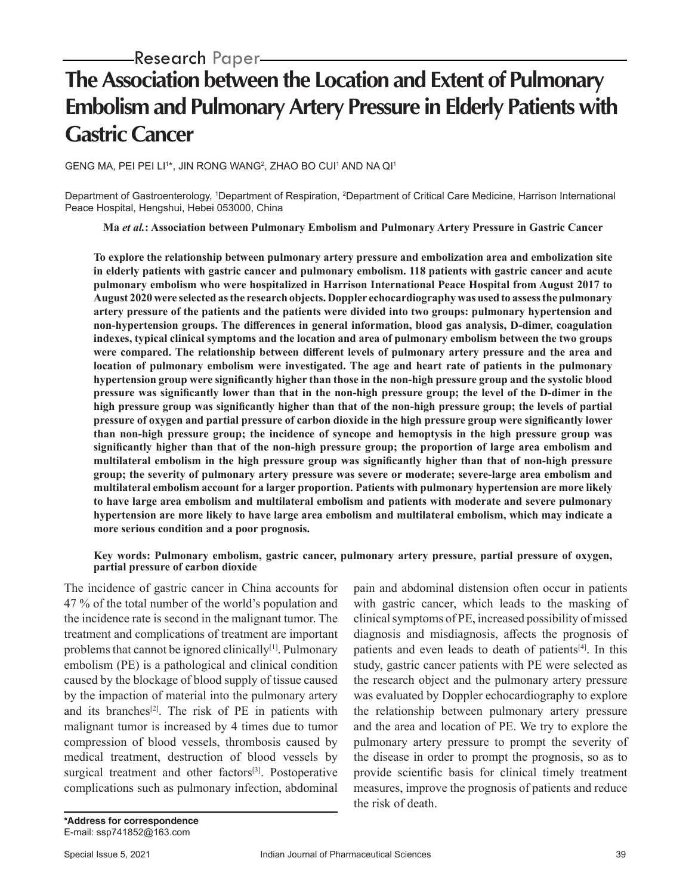# **The Association between the Location and Extent of Pulmonary Embolism and Pulmonary Artery Pressure in Elderly Patients with Gastric Cancer**

GENG MA, PEI PEI LI1\*, JIN RONG WANG<sup>2</sup>, ZHAO BO CUI1 AND NA QI1

Department of Gastroenterology, 1Department of Respiration, <sup>2</sup>Department of Critical Care Medicine, Harrison International Peace Hospital, Hengshui, Hebei 053000, China

**Ma** *et al.***: Association between Pulmonary Embolism and Pulmonary Artery Pressure in Gastric Cancer**

**To explore the relationship between pulmonary artery pressure and embolization area and embolization site in elderly patients with gastric cancer and pulmonary embolism. 118 patients with gastric cancer and acute pulmonary embolism who were hospitalized in Harrison International Peace Hospital from August 2017 to August 2020 were selected as the research objects. Doppler echocardiography was used to assess the pulmonary artery pressure of the patients and the patients were divided into two groups: pulmonary hypertension and non-hypertension groups. The differences in general information, blood gas analysis, D-dimer, coagulation indexes, typical clinical symptoms and the location and area of pulmonary embolism between the two groups were compared. The relationship between different levels of pulmonary artery pressure and the area and location of pulmonary embolism were investigated. The age and heart rate of patients in the pulmonary hypertension group were significantly higher than those in the non-high pressure group and the systolic blood pressure was significantly lower than that in the non-high pressure group; the level of the D-dimer in the high pressure group was significantly higher than that of the non-high pressure group; the levels of partial pressure of oxygen and partial pressure of carbon dioxide in the high pressure group were significantly lower than non-high pressure group; the incidence of syncope and hemoptysis in the high pressure group was significantly higher than that of the non-high pressure group; the proportion of large area embolism and multilateral embolism in the high pressure group was significantly higher than that of non-high pressure group; the severity of pulmonary artery pressure was severe or moderate; severe-large area embolism and multilateral embolism account for a larger proportion. Patients with pulmonary hypertension are more likely to have large area embolism and multilateral embolism and patients with moderate and severe pulmonary hypertension are more likely to have large area embolism and multilateral embolism, which may indicate a more serious condition and a poor prognosis.**

#### **Key words: Pulmonary embolism, gastric cancer, pulmonary artery pressure, partial pressure of oxygen, partial pressure of carbon dioxide**

The incidence of gastric cancer in China accounts for 47 % of the total number of the world's population and the incidence rate is second in the malignant tumor. The treatment and complications of treatment are important problems that cannot be ignored clinically<sup>[1]</sup>. Pulmonary embolism (PE) is a pathological and clinical condition caused by the blockage of blood supply of tissue caused by the impaction of material into the pulmonary artery and its branches<sup>[2]</sup>. The risk of PE in patients with malignant tumor is increased by 4 times due to tumor compression of blood vessels, thrombosis caused by medical treatment, destruction of blood vessels by surgical treatment and other factors<sup>[3]</sup>. Postoperative complications such as pulmonary infection, abdominal

with gastric cancer, which leads to the masking of clinical symptoms of PE, increased possibility of missed diagnosis and misdiagnosis, affects the prognosis of patients and even leads to death of patients<sup>[4]</sup>. In this study, gastric cancer patients with PE were selected as the research object and the pulmonary artery pressure was evaluated by Doppler echocardiography to explore the relationship between pulmonary artery pressure and the area and location of PE. We try to explore the pulmonary artery pressure to prompt the severity of the disease in order to prompt the prognosis, so as to provide scientific basis for clinical timely treatment measures, improve the prognosis of patients and reduce the risk of death.

pain and abdominal distension often occur in patients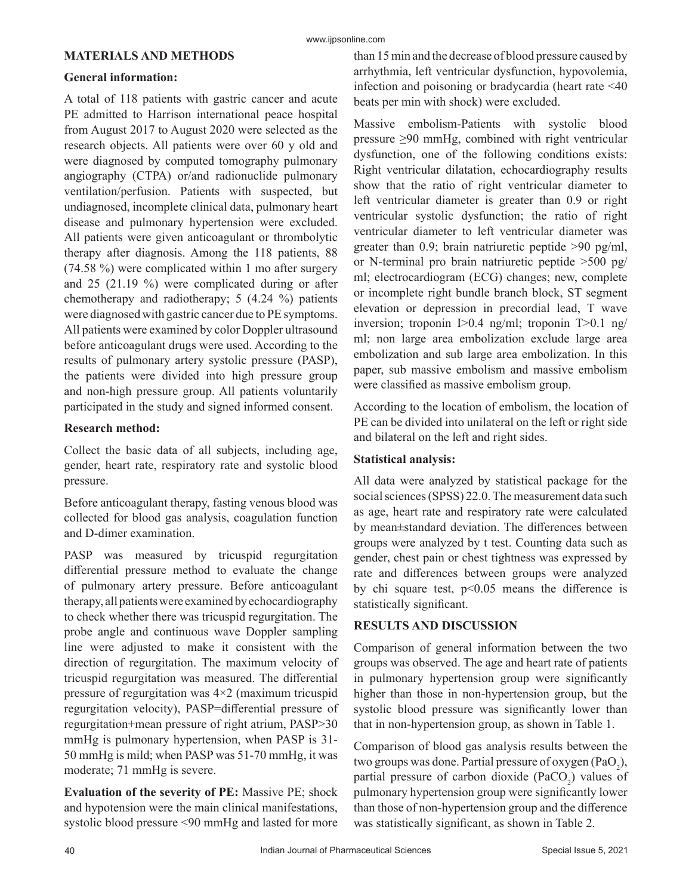## **MATERIALS AND METHODS**

## **General information:**

A total of 118 patients with gastric cancer and acute PE admitted to Harrison international peace hospital from August 2017 to August 2020 were selected as the research objects. All patients were over 60 y old and were diagnosed by computed tomography pulmonary angiography (CTPA) or/and radionuclide pulmonary ventilation/perfusion. Patients with suspected, but undiagnosed, incomplete clinical data, pulmonary heart disease and pulmonary hypertension were excluded. All patients were given anticoagulant or thrombolytic therapy after diagnosis. Among the 118 patients, 88 (74.58 %) were complicated within 1 mo after surgery and 25 (21.19 %) were complicated during or after chemotherapy and radiotherapy; 5 (4.24 %) patients were diagnosed with gastric cancer due to PE symptoms. All patients were examined by color Doppler ultrasound before anticoagulant drugs were used. According to the results of pulmonary artery systolic pressure (PASP), the patients were divided into high pressure group and non-high pressure group. All patients voluntarily participated in the study and signed informed consent.

## **Research method:**

Collect the basic data of all subjects, including age, gender, heart rate, respiratory rate and systolic blood pressure.

Before anticoagulant therapy, fasting venous blood was collected for blood gas analysis, coagulation function and D-dimer examination.

PASP was measured by tricuspid regurgitation differential pressure method to evaluate the change of pulmonary artery pressure. Before anticoagulant therapy, all patients were examined by echocardiography to check whether there was tricuspid regurgitation. The probe angle and continuous wave Doppler sampling line were adjusted to make it consistent with the direction of regurgitation. The maximum velocity of tricuspid regurgitation was measured. The differential pressure of regurgitation was 4×2 (maximum tricuspid regurgitation velocity), PASP=differential pressure of regurgitation+mean pressure of right atrium, PASP>30 mmHg is pulmonary hypertension, when PASP is 31- 50 mmHg is mild; when PASP was 51-70 mmHg, it was moderate; 71 mmHg is severe.

**Evaluation of the severity of PE:** Massive PE; shock and hypotension were the main clinical manifestations, systolic blood pressure <90 mmHg and lasted for more than 15 min and the decrease of blood pressure caused by arrhythmia, left ventricular dysfunction, hypovolemia, infection and poisoning or bradycardia (heart rate <40 beats per min with shock) were excluded.

Massive embolism-Patients with systolic blood pressure ≥90 mmHg, combined with right ventricular dysfunction, one of the following conditions exists: Right ventricular dilatation, echocardiography results show that the ratio of right ventricular diameter to left ventricular diameter is greater than 0.9 or right ventricular systolic dysfunction; the ratio of right ventricular diameter to left ventricular diameter was greater than 0.9; brain natriuretic peptide >90 pg/ml, or N-terminal pro brain natriuretic peptide >500 pg/ ml; electrocardiogram (ECG) changes; new, complete or incomplete right bundle branch block, ST segment elevation or depression in precordial lead, T wave inversion; troponin I>0.4 ng/ml; troponin T>0.1 ng/ ml; non large area embolization exclude large area embolization and sub large area embolization. In this paper, sub massive embolism and massive embolism were classified as massive embolism group.

According to the location of embolism, the location of PE can be divided into unilateral on the left or right side and bilateral on the left and right sides.

# **Statistical analysis:**

All data were analyzed by statistical package for the social sciences (SPSS) 22.0. The measurement data such as age, heart rate and respiratory rate were calculated by mean±standard deviation. The differences between groups were analyzed by t test. Counting data such as gender, chest pain or chest tightness was expressed by rate and differences between groups were analyzed by chi square test,  $p<0.05$  means the difference is statistically significant.

# **RESULTS AND DISCUSSION**

Comparison of general information between the two groups was observed. The age and heart rate of patients in pulmonary hypertension group were significantly higher than those in non-hypertension group, but the systolic blood pressure was significantly lower than that in non-hypertension group, as shown in Table 1.

Comparison of blood gas analysis results between the two groups was done. Partial pressure of oxygen  $({\rm PaO}_2),$ partial pressure of carbon dioxide  $(PaCO<sub>2</sub>)$  values of pulmonary hypertension group were significantly lower than those of non-hypertension group and the difference was statistically significant, as shown in Table 2.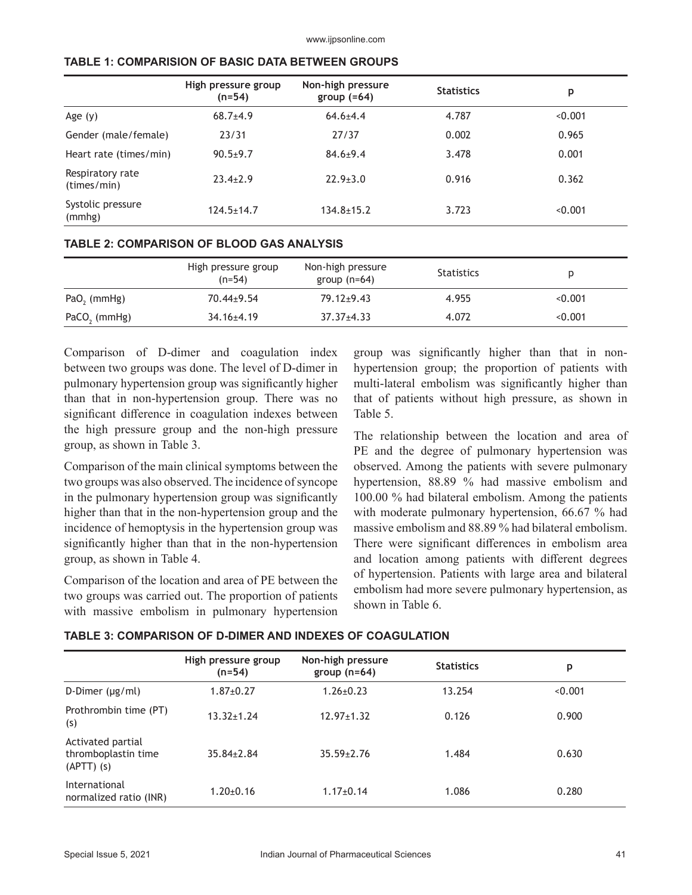|                                 | High pressure group<br>$(n=54)$ | Non-high pressure<br>group $(=64)$ | <b>Statistics</b> | p       |
|---------------------------------|---------------------------------|------------------------------------|-------------------|---------|
| Age $(y)$                       | $68.7+4.9$                      | $64.6 + 4.4$                       | 4.787             | < 0.001 |
| Gender (male/female)            | 23/31                           | 27/37                              | 0.002             | 0.965   |
| Heart rate (times/min)          | $90.5+9.7$                      | $84.6 \pm 9.4$                     | 3.478             | 0.001   |
| Respiratory rate<br>(times/min) | $23.4 + 2.9$                    | $22.9 \pm 3.0$                     | 0.916             | 0.362   |
| Systolic pressure<br>(mmhg)     | $124.5 \pm 14.7$                | $134.8 \pm 15.2$                   | 3.723             | < 0.001 |

## **TABLE 1: COMPARISION OF BASIC DATA BETWEEN GROUPS**

|                          | High pressure group<br>$(n=54)$ | Non-high pressure<br>group $(n=64)$ | <b>Statistics</b> |         |
|--------------------------|---------------------------------|-------------------------------------|-------------------|---------|
| PaO <sub>2</sub> (mmHg)  | $70.44 \pm 9.54$                | $79.12 \pm 9.43$                    | 4.955             | < 0.001 |
| PaCO <sub>2</sub> (mmHg) | $34.16 + 4.19$                  | $37.37 \pm 4.33$                    | 4.072             | < 0.001 |

Comparison of D-dimer and coagulation index between two groups was done. The level of D-dimer in pulmonary hypertension group was significantly higher than that in non-hypertension group. There was no significant difference in coagulation indexes between the high pressure group and the non-high pressure group, as shown in Table 3.

Comparison of the main clinical symptoms between the two groups was also observed. The incidence of syncope in the pulmonary hypertension group was significantly higher than that in the non-hypertension group and the incidence of hemoptysis in the hypertension group was significantly higher than that in the non-hypertension group, as shown in Table 4.

Comparison of the location and area of PE between the two groups was carried out. The proportion of patients with massive embolism in pulmonary hypertension group was significantly higher than that in nonhypertension group; the proportion of patients with multi-lateral embolism was significantly higher than that of patients without high pressure, as shown in Table 5.

The relationship between the location and area of PE and the degree of pulmonary hypertension was observed. Among the patients with severe pulmonary hypertension, 88.89 % had massive embolism and 100.00 % had bilateral embolism. Among the patients with moderate pulmonary hypertension, 66.67 % had massive embolism and 88.89 % had bilateral embolism. There were significant differences in embolism area and location among patients with different degrees of hypertension. Patients with large area and bilateral embolism had more severe pulmonary hypertension, as shown in Table 6.

|                                                       | High pressure group<br>(n=54) | Non-high pressure<br>group $(n=64)$ | <b>Statistics</b> | р       |
|-------------------------------------------------------|-------------------------------|-------------------------------------|-------------------|---------|
| D-Dimer $(\mu g/ml)$                                  | $1.87 \pm 0.27$               | $1.26 \pm 0.23$                     | 13.254            | < 0.001 |
| Prothrombin time (PT)<br>(s)                          | $13.32 \pm 1.24$              | $12.97 \pm 1.32$                    | 0.126             | 0.900   |
| Activated partial<br>thromboplastin time<br>(APTT)(s) | $35.84 \pm 2.84$              | $35.59 \pm 2.76$                    | 1.484             | 0.630   |
| International<br>normalized ratio (INR)               | $1.20 \pm 0.16$               | $1.17 \pm 0.14$                     | 1.086             | 0.280   |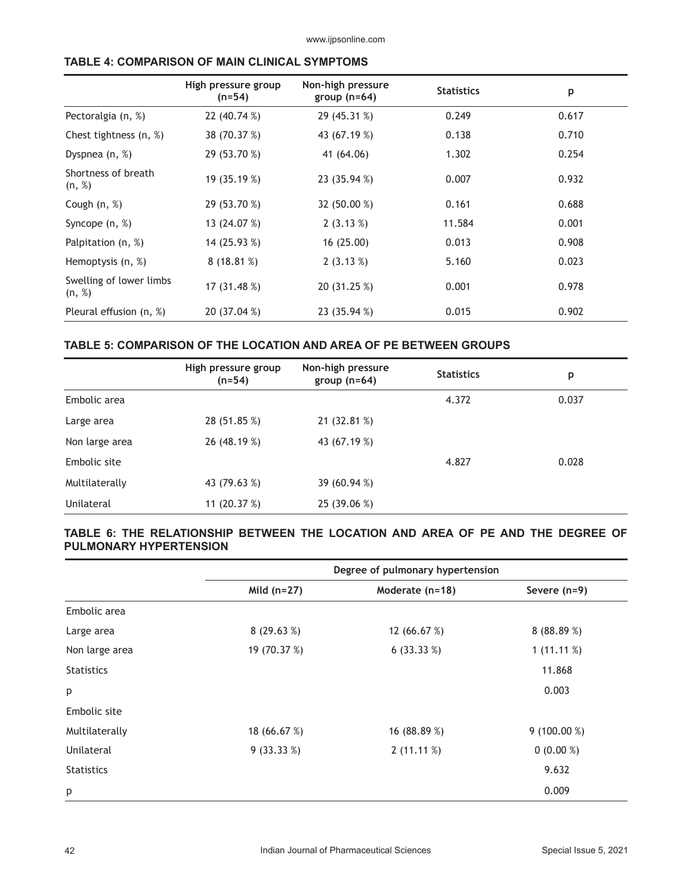www.ijpsonline.com

| <b>TABLE 4: COMPARISON OF MAIN CLINICAL SYMPTOMS</b> |  |  |
|------------------------------------------------------|--|--|
|------------------------------------------------------|--|--|

|                                   | High pressure group<br>$(n=54)$ | Non-high pressure<br>group $(n=64)$ | <b>Statistics</b> | p     |
|-----------------------------------|---------------------------------|-------------------------------------|-------------------|-------|
| Pectoralgia (n, %)                | 22 (40.74 %)                    | 29 (45.31 %)                        | 0.249             | 0.617 |
| Chest tightness (n, %)            | 38 (70.37 %)                    | 43 (67.19 %)                        | 0.138             | 0.710 |
| Dyspnea $(n, %)$                  | 29 (53.70 %)                    | 41 (64.06)                          | 1.302             | 0.254 |
| Shortness of breath<br>(n, %)     | 19 (35.19 %)                    | 23 (35.94 %)                        | 0.007             | 0.932 |
| Cough $(n, %)$                    | 29 (53.70 %)                    | 32 (50.00 %)                        | 0.161             | 0.688 |
| Syncope $(n, %)$                  | 13 (24.07 %)                    | 2(3.13%)                            | 11.584            | 0.001 |
| Palpitation (n, %)                | 14 (25.93 %)                    | 16 (25.00)                          | 0.013             | 0.908 |
| Hemoptysis (n, %)                 | 8(18.81%)                       | 2(3.13%)                            | 5.160             | 0.023 |
| Swelling of lower limbs<br>(n, %) | 17 (31.48 %)                    | 20 (31.25 %)                        | 0.001             | 0.978 |
| Pleural effusion (n, %)           | 20 (37.04 %)                    | 23 (35.94 %)                        | 0.015             | 0.902 |

## **TABLE 5: COMPARISON OF THE LOCATION AND AREA OF PE BETWEEN GROUPS**

|                | High pressure group<br>(n=54) | Non-high pressure<br>group $(n=64)$ | <b>Statistics</b> | p     |
|----------------|-------------------------------|-------------------------------------|-------------------|-------|
| Embolic area   |                               |                                     | 4.372             | 0.037 |
| Large area     | 28 (51.85 %)                  | 21 (32.81 %)                        |                   |       |
| Non large area | 26 (48.19 %)                  | 43 (67.19 %)                        |                   |       |
| Embolic site   |                               |                                     | 4.827             | 0.028 |
| Multilaterally | 43 (79.63 %)                  | 39 (60.94 %)                        |                   |       |
| Unilateral     | 11 $(20.37%)$                 | 25 (39.06 %)                        |                   |       |

## **TABLE 6: THE RELATIONSHIP BETWEEN THE LOCATION AND AREA OF PE AND THE DEGREE OF PULMONARY HYPERTENSION**

|                   |               | Degree of pulmonary hypertension |               |
|-------------------|---------------|----------------------------------|---------------|
|                   | Mild $(n=27)$ | Moderate (n=18)                  | Severe (n=9)  |
| Embolic area      |               |                                  |               |
| Large area        | 8(29.63%)     | 12 (66.67 %)                     | 8(88.89%)     |
| Non large area    | 19 (70.37 %)  | 6(33.33%)                        | 1 $(11.11\%)$ |
| <b>Statistics</b> |               |                                  | 11.868        |
| p                 |               |                                  | 0.003         |
| Embolic site      |               |                                  |               |
| Multilaterally    | 18 (66.67 %)  | 16 (88.89 %)                     | $9(100.00\%)$ |
| Unilateral        | 9(33.33%)     | 2(11.11%)                        | $0(0.00\%)$   |
| <b>Statistics</b> |               |                                  | 9.632         |
| р                 |               |                                  | 0.009         |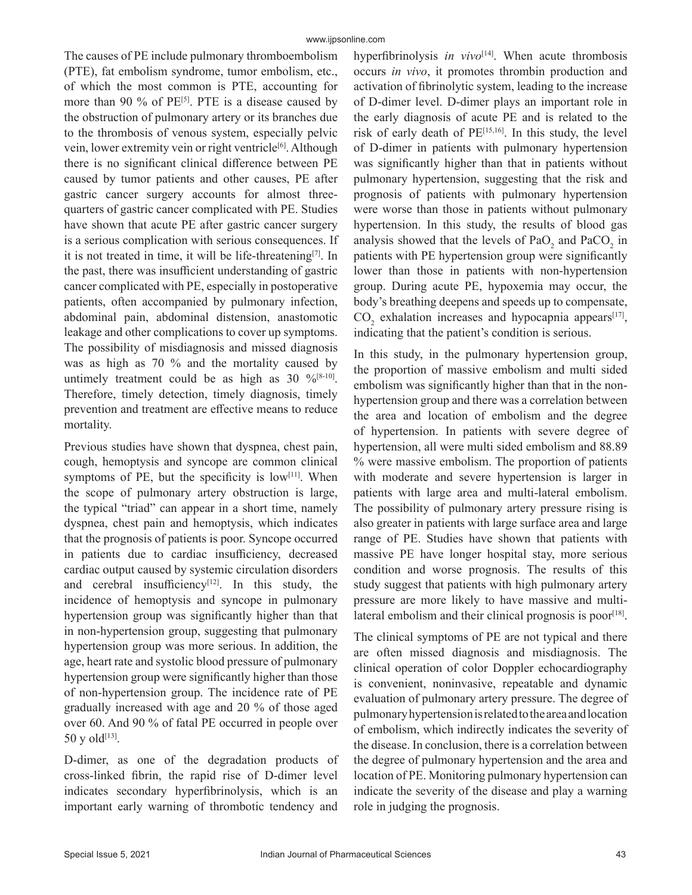The causes of PE include pulmonary thromboembolism (PTE), fat embolism syndrome, tumor embolism, etc., of which the most common is PTE, accounting for more than 90 % of  $PE^{[5]}$ . PTE is a disease caused by the obstruction of pulmonary artery or its branches due to the thrombosis of venous system, especially pelvic vein, lower extremity vein or right ventricle<sup>[6]</sup>. Although there is no significant clinical difference between PE caused by tumor patients and other causes, PE after gastric cancer surgery accounts for almost threequarters of gastric cancer complicated with PE. Studies have shown that acute PE after gastric cancer surgery is a serious complication with serious consequences. If it is not treated in time, it will be life-threatening<sup>[7]</sup>. In the past, there was insufficient understanding of gastric cancer complicated with PE, especially in postoperative patients, often accompanied by pulmonary infection, abdominal pain, abdominal distension, anastomotic leakage and other complications to cover up symptoms. The possibility of misdiagnosis and missed diagnosis was as high as 70 % and the mortality caused by untimely treatment could be as high as  $30\%$ <sup>[8-10]</sup>. Therefore, timely detection, timely diagnosis, timely prevention and treatment are effective means to reduce mortality.

Previous studies have shown that dyspnea, chest pain, cough, hemoptysis and syncope are common clinical symptoms of PE, but the specificity is  $low^{[11]}$ . When the scope of pulmonary artery obstruction is large, the typical "triad" can appear in a short time, namely dyspnea, chest pain and hemoptysis, which indicates that the prognosis of patients is poor. Syncope occurred in patients due to cardiac insufficiency, decreased cardiac output caused by systemic circulation disorders and cerebral insufficiency<sup>[12]</sup>. In this study, the incidence of hemoptysis and syncope in pulmonary hypertension group was significantly higher than that in non-hypertension group, suggesting that pulmonary hypertension group was more serious. In addition, the age, heart rate and systolic blood pressure of pulmonary hypertension group were significantly higher than those of non-hypertension group. The incidence rate of PE gradually increased with age and 20 % of those aged over 60. And 90 % of fatal PE occurred in people over  $50 \text{ y}$  old<sup>[13]</sup>.

D-dimer, as one of the degradation products of cross-linked fibrin, the rapid rise of D-dimer level indicates secondary hyperfibrinolysis, which is an important early warning of thrombotic tendency and hyperfibrinolysis *in vivo*<sup>[14]</sup>. When acute thrombosis occurs *in vivo*, it promotes thrombin production and activation of fibrinolytic system, leading to the increase of D-dimer level. D-dimer plays an important role in the early diagnosis of acute PE and is related to the risk of early death of PE[15,16]. In this study, the level of D-dimer in patients with pulmonary hypertension was significantly higher than that in patients without pulmonary hypertension, suggesting that the risk and prognosis of patients with pulmonary hypertension were worse than those in patients without pulmonary hypertension. In this study, the results of blood gas analysis showed that the levels of  $PaO_2$  and  $PaCO_2$  in patients with PE hypertension group were significantly lower than those in patients with non-hypertension group. During acute PE, hypoxemia may occur, the body's breathing deepens and speeds up to compensate,  $CO_2$  exhalation increases and hypocapnia appears<sup>[17]</sup>, indicating that the patient's condition is serious.

In this study, in the pulmonary hypertension group, the proportion of massive embolism and multi sided embolism was significantly higher than that in the nonhypertension group and there was a correlation between the area and location of embolism and the degree of hypertension. In patients with severe degree of hypertension, all were multi sided embolism and 88.89 % were massive embolism. The proportion of patients with moderate and severe hypertension is larger in patients with large area and multi-lateral embolism. The possibility of pulmonary artery pressure rising is also greater in patients with large surface area and large range of PE. Studies have shown that patients with massive PE have longer hospital stay, more serious condition and worse prognosis. The results of this study suggest that patients with high pulmonary artery pressure are more likely to have massive and multilateral embolism and their clinical prognosis is poor $[18]$ .

The clinical symptoms of PE are not typical and there are often missed diagnosis and misdiagnosis. The clinical operation of color Doppler echocardiography is convenient, noninvasive, repeatable and dynamic evaluation of pulmonary artery pressure. The degree of pulmonary hypertension is related to the area and location of embolism, which indirectly indicates the severity of the disease. In conclusion, there is a correlation between the degree of pulmonary hypertension and the area and location of PE. Monitoring pulmonary hypertension can indicate the severity of the disease and play a warning role in judging the prognosis.